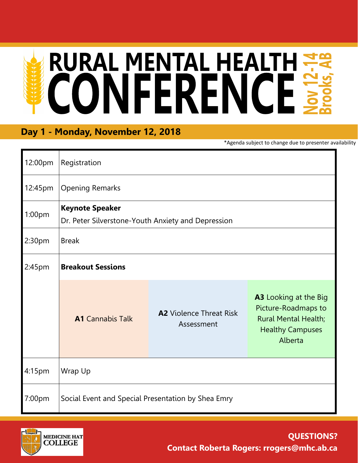# RURAL MENTAL HEALTH

## **Day 1 - Monday, November 12, 2018**

\*Agenda subject to change due to presenter availability

| 12:00pm            | Registration                                                                 |                                              |                                                                                                                          |  |  |
|--------------------|------------------------------------------------------------------------------|----------------------------------------------|--------------------------------------------------------------------------------------------------------------------------|--|--|
| 12:45pm            | <b>Opening Remarks</b>                                                       |                                              |                                                                                                                          |  |  |
| 1:00pm             | <b>Keynote Speaker</b><br>Dr. Peter Silverstone-Youth Anxiety and Depression |                                              |                                                                                                                          |  |  |
| 2:30 <sub>pm</sub> | <b>Break</b>                                                                 |                                              |                                                                                                                          |  |  |
| 2:45 <sub>pm</sub> | <b>Breakout Sessions</b>                                                     |                                              |                                                                                                                          |  |  |
|                    | <b>A1</b> Cannabis Talk                                                      | <b>A2</b> Violence Threat Risk<br>Assessment | <b>A3</b> Looking at the Big<br>Picture-Roadmaps to<br><b>Rural Mental Health;</b><br><b>Healthy Campuses</b><br>Alberta |  |  |
| 4:15 <sub>pm</sub> | Wrap Up                                                                      |                                              |                                                                                                                          |  |  |
| 7:00pm             | Social Event and Special Presentation by Shea Emry                           |                                              |                                                                                                                          |  |  |

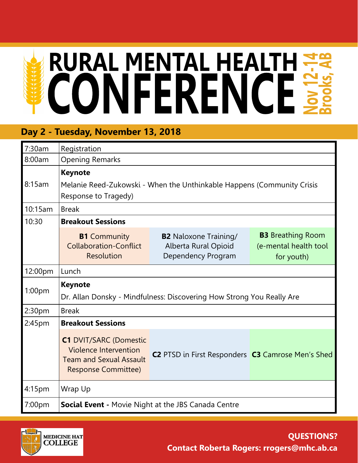# **RURAL MENTAL HEALTH ##**

## **Day 2 - Tuesday, November 13, 2018**

| 7:30am             | Registration                                                                                                                  |                                                                            |                                                                 |  |  |  |
|--------------------|-------------------------------------------------------------------------------------------------------------------------------|----------------------------------------------------------------------------|-----------------------------------------------------------------|--|--|--|
| 8:00am             | <b>Opening Remarks</b>                                                                                                        |                                                                            |                                                                 |  |  |  |
|                    | <b>Keynote</b>                                                                                                                |                                                                            |                                                                 |  |  |  |
| 8:15am             | Melanie Reed-Zukowski - When the Unthinkable Happens (Community Crisis<br>Response to Tragedy)                                |                                                                            |                                                                 |  |  |  |
| 10:15am            | <b>Break</b>                                                                                                                  |                                                                            |                                                                 |  |  |  |
| 10:30              | <b>Breakout Sessions</b>                                                                                                      |                                                                            |                                                                 |  |  |  |
|                    | <b>B1</b> Community<br><b>Collaboration-Conflict</b><br><b>Resolution</b>                                                     | <b>B2</b> Naloxone Training/<br>Alberta Rural Opioid<br>Dependency Program | <b>B3</b> Breathing Room<br>(e-mental health tool<br>for youth) |  |  |  |
| 12:00pm            | Lunch                                                                                                                         |                                                                            |                                                                 |  |  |  |
| 1:00 <sub>pm</sub> | <b>Keynote</b>                                                                                                                |                                                                            |                                                                 |  |  |  |
|                    | Dr. Allan Donsky - Mindfulness: Discovering How Strong You Really Are                                                         |                                                                            |                                                                 |  |  |  |
| 2:30pm             | <b>Break</b>                                                                                                                  |                                                                            |                                                                 |  |  |  |
| 2:45pm             | <b>Breakout Sessions</b>                                                                                                      |                                                                            |                                                                 |  |  |  |
|                    | <b>C1 DVIT/SARC (Domestic</b><br><b>Violence Intervention</b><br><b>Team and Sexual Assault</b><br><b>Response Committee)</b> | C2 PTSD in First Responders C3 Camrose Men's Shed                          |                                                                 |  |  |  |
| 4:15pm             | Wrap Up                                                                                                                       |                                                                            |                                                                 |  |  |  |
| 7:00pm             | <b>Social Event - Movie Night at the JBS Canada Centre</b>                                                                    |                                                                            |                                                                 |  |  |  |



### **QUESTIONS? Contact Roberta Rogers: rrogers@mhc.ab.ca**